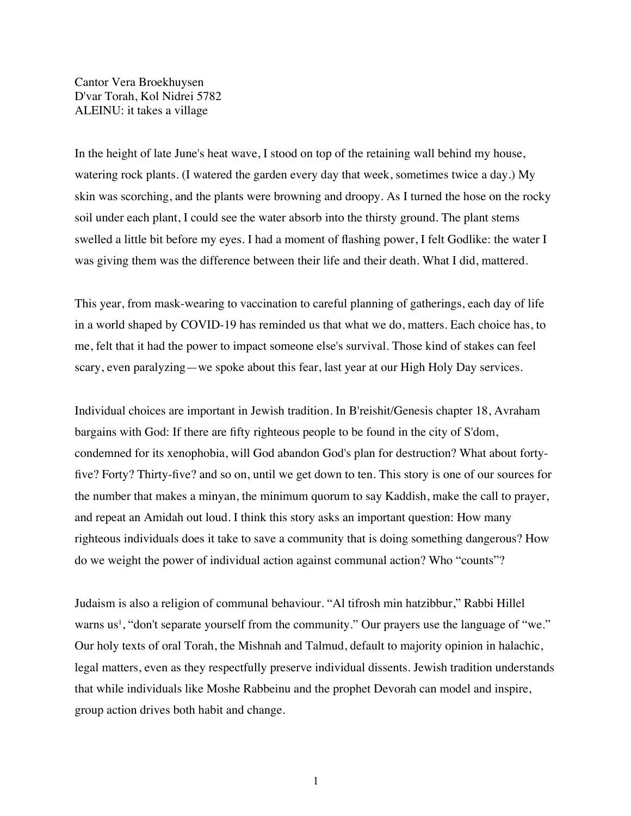Cantor Vera Broekhuysen D'var Torah, Kol Nidrei 5782 ALEINU: it takes a village

In the height of late June's heat wave, I stood on top of the retaining wall behind my house, watering rock plants. (I watered the garden every day that week, sometimes twice a day.) My skin was scorching, and the plants were browning and droopy. As I turned the hose on the rocky soil under each plant, I could see the water absorb into the thirsty ground. The plant stems swelled a little bit before my eyes. I had a moment of flashing power, I felt Godlike: the water I was giving them was the difference between their life and their death. What I did, mattered.

This year, from mask-wearing to vaccination to careful planning of gatherings, each day of life in a world shaped by COVID-19 has reminded us that what we do, matters. Each choice has, to me, felt that it had the power to impact someone else's survival. Those kind of stakes can feel scary, even paralyzing—we spoke about this fear, last year at our High Holy Day services.

Individual choices are important in Jewish tradition. In B'reishit/Genesis chapter 18, Avraham bargains with God: If there are fifty righteous people to be found in the city of S'dom, condemned for its xenophobia, will God abandon God's plan for destruction? What about fortyfive? Forty? Thirty-five? and so on, until we get down to ten. This story is one of our sources for the number that makes a minyan, the minimum quorum to say Kaddish, make the call to prayer, and repeat an Amidah out loud. I think this story asks an important question: How many righteous individuals does it take to save a community that is doing something dangerous? How do we weight the power of individual action against communal action? Who "counts"?

Judaism is also a religion of communal behaviour. "Al tifrosh min hatzibbur," Rabbi Hillel warns us<sup>1</sup>, "don't separate yourself from the community." Our prayers use the language of "we." Our holy texts of oral Torah, the Mishnah and Talmud, default to majority opinion in halachic, legal matters, even as they respectfully preserve individual dissents. Jewish tradition understands that while individuals like Moshe Rabbeinu and the prophet Devorah can model and inspire, group action drives both habit and change.

1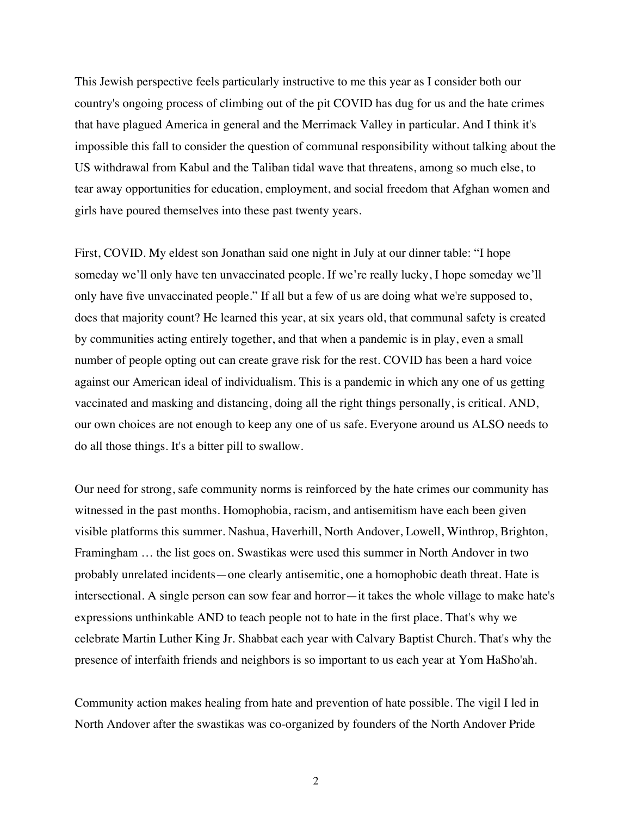This Jewish perspective feels particularly instructive to me this year as I consider both our country's ongoing process of climbing out of the pit COVID has dug for us and the hate crimes that have plagued America in general and the Merrimack Valley in particular. And I think it's impossible this fall to consider the question of communal responsibility without talking about the US withdrawal from Kabul and the Taliban tidal wave that threatens, among so much else, to tear away opportunities for education, employment, and social freedom that Afghan women and girls have poured themselves into these past twenty years.

First, COVID. My eldest son Jonathan said one night in July at our dinner table: "I hope someday we'll only have ten unvaccinated people. If we're really lucky, I hope someday we'll only have five unvaccinated people." If all but a few of us are doing what we're supposed to, does that majority count? He learned this year, at six years old, that communal safety is created by communities acting entirely together, and that when a pandemic is in play, even a small number of people opting out can create grave risk for the rest. COVID has been a hard voice against our American ideal of individualism. This is a pandemic in which any one of us getting vaccinated and masking and distancing, doing all the right things personally, is critical. AND, our own choices are not enough to keep any one of us safe. Everyone around us ALSO needs to do all those things. It's a bitter pill to swallow.

Our need for strong, safe community norms is reinforced by the hate crimes our community has witnessed in the past months. Homophobia, racism, and antisemitism have each been given visible platforms this summer. Nashua, Haverhill, North Andover, Lowell, Winthrop, Brighton, Framingham … the list goes on. Swastikas were used this summer in North Andover in two probably unrelated incidents—one clearly antisemitic, one a homophobic death threat. Hate is intersectional. A single person can sow fear and horror—it takes the whole village to make hate's expressions unthinkable AND to teach people not to hate in the first place. That's why we celebrate Martin Luther King Jr. Shabbat each year with Calvary Baptist Church. That's why the presence of interfaith friends and neighbors is so important to us each year at Yom HaSho'ah.

Community action makes healing from hate and prevention of hate possible. The vigil I led in North Andover after the swastikas was co-organized by founders of the North Andover Pride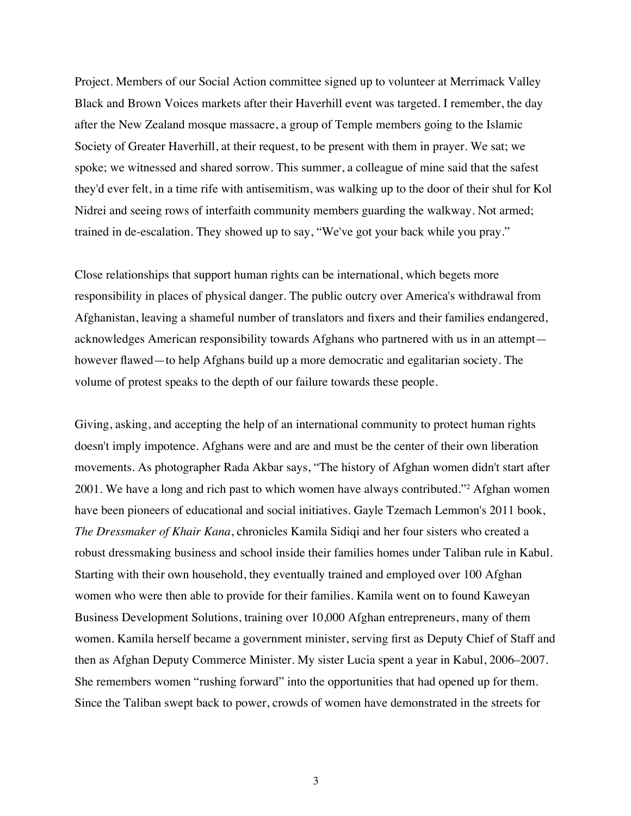Project. Members of our Social Action committee signed up to volunteer at Merrimack Valley Black and Brown Voices markets after their Haverhill event was targeted. I remember, the day after the New Zealand mosque massacre, a group of Temple members going to the Islamic Society of Greater Haverhill, at their request, to be present with them in prayer. We sat; we spoke; we witnessed and shared sorrow. This summer, a colleague of mine said that the safest they'd ever felt, in a time rife with antisemitism, was walking up to the door of their shul for Kol Nidrei and seeing rows of interfaith community members guarding the walkway. Not armed; trained in de-escalation. They showed up to say, "We've got your back while you pray."

Close relationships that support human rights can be international, which begets more responsibility in places of physical danger. The public outcry over America's withdrawal from Afghanistan, leaving a shameful number of translators and fixers and their families endangered, acknowledges American responsibility towards Afghans who partnered with us in an attempt however flawed—to help Afghans build up a more democratic and egalitarian society. The volume of protest speaks to the depth of our failure towards these people.

Giving, asking, and accepting the help of an international community to protect human rights doesn't imply impotence. Afghans were and are and must be the center of their own liberation movements. As photographer Rada Akbar says, "The history of Afghan women didn't start after 2001. We have a long and rich past to which women have always contributed."2 Afghan women have been pioneers of educational and social initiatives. Gayle Tzemach Lemmon's 2011 book, *The Dressmaker of Khair Kana*, chronicles Kamila Sidiqi and her four sisters who created a robust dressmaking business and school inside their families homes under Taliban rule in Kabul. Starting with their own household, they eventually trained and employed over 100 Afghan women who were then able to provide for their families. Kamila went on to found Kaweyan Business Development Solutions, training over 10,000 Afghan entrepreneurs, many of them women. Kamila herself became a government minister, serving first as Deputy Chief of Staff and then as Afghan Deputy Commerce Minister. My sister Lucia spent a year in Kabul, 2006–2007. She remembers women "rushing forward" into the opportunities that had opened up for them. Since the Taliban swept back to power, crowds of women have demonstrated in the streets for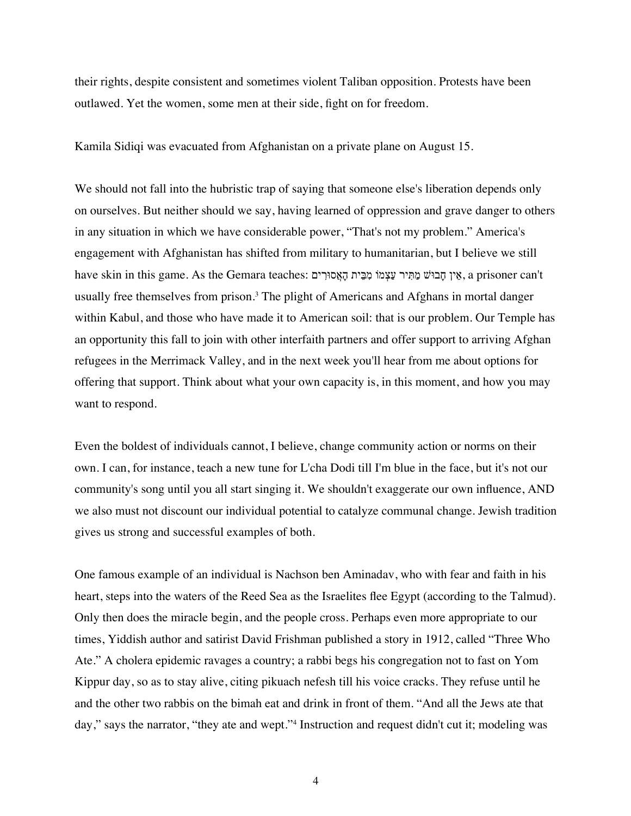their rights, despite consistent and sometimes violent Taliban opposition. Protests have been outlawed. Yet the women, some men at their side, fight on for freedom.

Kamila Sidiqi was evacuated from Afghanistan on a private plane on August 15.

We should not fall into the hubristic trap of saying that someone else's liberation depends only on ourselves. But neither should we say, having learned of oppression and grave danger to others in any situation in which we have considerable power, "That's not my problem." America's engagement with Afghanistan has shifted from military to humanitarian, but I believe we still have skin in this game. As the Gemara teaches: אֵין חַבוּשׁ מַתִּיר עַצָמוֹ מִבֵּית הָאֲסוּרִים, a prisoner can't usually free themselves from prison.3 The plight of Americans and Afghans in mortal danger within Kabul, and those who have made it to American soil: that is our problem. Our Temple has an opportunity this fall to join with other interfaith partners and offer support to arriving Afghan refugees in the Merrimack Valley, and in the next week you'll hear from me about options for offering that support. Think about what your own capacity is, in this moment, and how you may want to respond.

Even the boldest of individuals cannot, I believe, change community action or norms on their own. I can, for instance, teach a new tune for L'cha Dodi till I'm blue in the face, but it's not our community's song until you all start singing it. We shouldn't exaggerate our own influence, AND we also must not discount our individual potential to catalyze communal change. Jewish tradition gives us strong and successful examples of both.

One famous example of an individual is Nachson ben Aminadav, who with fear and faith in his heart, steps into the waters of the Reed Sea as the Israelites flee Egypt (according to the Talmud). Only then does the miracle begin, and the people cross. Perhaps even more appropriate to our times, Yiddish author and satirist David Frishman published a story in 1912, called "Three Who Ate." A cholera epidemic ravages a country; a rabbi begs his congregation not to fast on Yom Kippur day, so as to stay alive, citing pikuach nefesh till his voice cracks. They refuse until he and the other two rabbis on the bimah eat and drink in front of them. "And all the Jews ate that day," says the narrator, "they ate and wept."4 Instruction and request didn't cut it; modeling was

4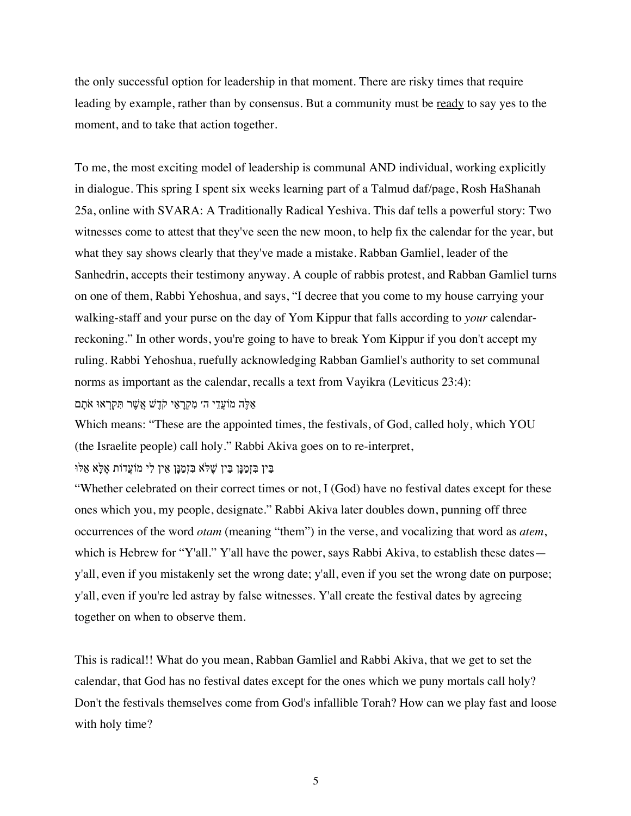the only successful option for leadership in that moment. There are risky times that require leading by example, rather than by consensus. But a community must be ready to say yes to the moment, and to take that action together.

To me, the most exciting model of leadership is communal AND individual, working explicitly in dialogue. This spring I spent six weeks learning part of a Talmud daf/page, Rosh HaShanah 25a, online with SVARA: A Traditionally Radical Yeshiva. This daf tells a powerful story: Two witnesses come to attest that they've seen the new moon, to help fix the calendar for the year, but what they say shows clearly that they've made a mistake. Rabban Gamliel, leader of the Sanhedrin, accepts their testimony anyway. A couple of rabbis protest, and Rabban Gamliel turns on one of them, Rabbi Yehoshua, and says, "I decree that you come to my house carrying your walking-staff and your purse on the day of Yom Kippur that falls according to *your* calendarreckoning." In other words, you're going to have to break Yom Kippur if you don't accept my ruling. Rabbi Yehoshua, ruefully acknowledging Rabban Gamliel's authority to set communal norms as important as the calendar, recalls a text from Vayikra (Leviticus 23:4): אֶלֶּה מוֹעֲדֵי ה׳ מְקַרַאֵי קֹדֶשׁ אֲשֶׁר תִּקְרָאוּ אֹתַם

Which means: "These are the appointed times, the festivals, of God, called holy, which YOU (the Israelite people) call holy." Rabbi Akiva goes on to re-interpret,

יֵנִין בִּזְמַנָּן בֵּין שֶׁלֹּא בִּזְמַנָּן אֵין לִי מוֹעֲדוֹת אֶלָּא אֵלוּ

"Whether celebrated on their correct times or not, I (God) have no festival dates except for these ones which you, my people, designate." Rabbi Akiva later doubles down, punning off three occurrences of the word *otam* (meaning "them") in the verse, and vocalizing that word as *atem*, which is Hebrew for "Y'all." Y'all have the power, says Rabbi Akiva, to establish these dates y'all, even if you mistakenly set the wrong date; y'all, even if you set the wrong date on purpose; y'all, even if you're led astray by false witnesses. Y'all create the festival dates by agreeing together on when to observe them.

This is radical!! What do you mean, Rabban Gamliel and Rabbi Akiva, that we get to set the calendar, that God has no festival dates except for the ones which we puny mortals call holy? Don't the festivals themselves come from God's infallible Torah? How can we play fast and loose with holy time?

5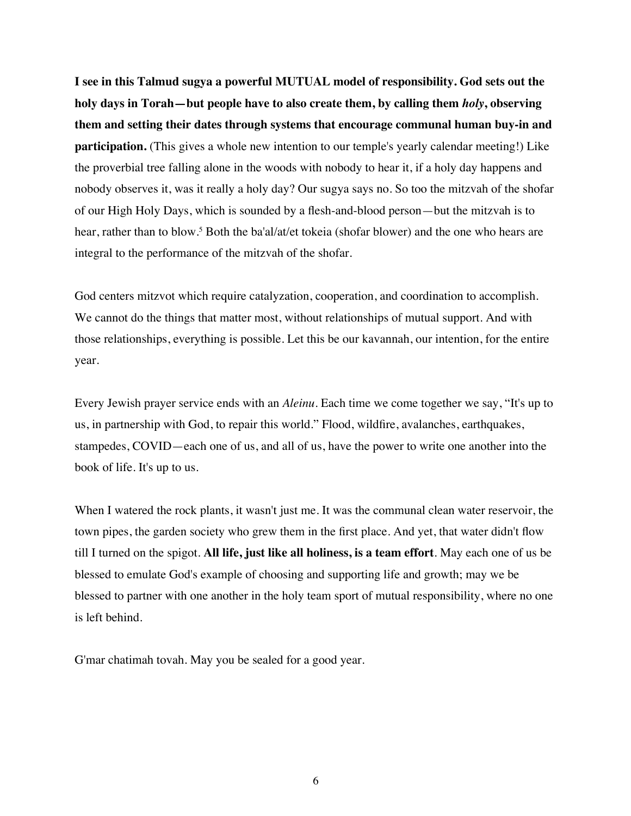**I see in this Talmud sugya a powerful MUTUAL model of responsibility. God sets out the holy days in Torah—but people have to also create them, by calling them** *holy***, observing them and setting their dates through systems that encourage communal human buy-in and participation.** (This gives a whole new intention to our temple's yearly calendar meeting!) Like the proverbial tree falling alone in the woods with nobody to hear it, if a holy day happens and nobody observes it, was it really a holy day? Our sugya says no. So too the mitzvah of the shofar of our High Holy Days, which is sounded by a flesh-and-blood person—but the mitzvah is to hear, rather than to blow.<sup>5</sup> Both the ba'al/at/et tokeia (shofar blower) and the one who hears are integral to the performance of the mitzvah of the shofar.

God centers mitzvot which require catalyzation, cooperation, and coordination to accomplish. We cannot do the things that matter most, without relationships of mutual support. And with those relationships, everything is possible. Let this be our kavannah, our intention, for the entire year.

Every Jewish prayer service ends with an *Aleinu*. Each time we come together we say, "It's up to us, in partnership with God, to repair this world." Flood, wildfire, avalanches, earthquakes, stampedes, COVID—each one of us, and all of us, have the power to write one another into the book of life. It's up to us.

When I watered the rock plants, it wasn't just me. It was the communal clean water reservoir, the town pipes, the garden society who grew them in the first place. And yet, that water didn't flow till I turned on the spigot. **All life, just like all holiness, is a team effort**. May each one of us be blessed to emulate God's example of choosing and supporting life and growth; may we be blessed to partner with one another in the holy team sport of mutual responsibility, where no one is left behind.

G'mar chatimah tovah. May you be sealed for a good year.